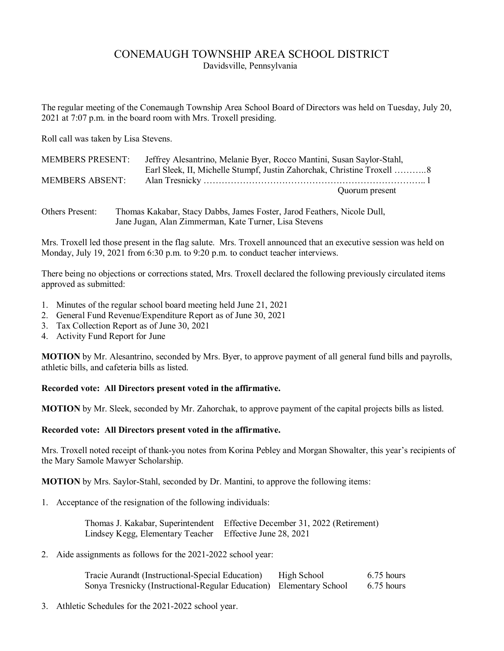# CONEMAUGH TOWNSHIP AREA SCHOOL DISTRICT

Davidsville, Pennsylvania

The regular meeting of the Conemaugh Township Area School Board of Directors was held on Tuesday, July 20, 2021 at 7:07 p.m. in the board room with Mrs. Troxell presiding.

Roll call was taken by Lisa Stevens.

| <b>MEMBERS PRESENT:</b> | Jeffrey Alesantrino, Melanie Byer, Rocco Mantini, Susan Saylor-Stahl, |
|-------------------------|-----------------------------------------------------------------------|
|                         |                                                                       |
| <b>MEMBERS ABSENT:</b>  |                                                                       |
|                         | Quorum present                                                        |

| Others Present: | Thomas Kakabar, Stacy Dabbs, James Foster, Jarod Feathers, Nicole Dull, |
|-----------------|-------------------------------------------------------------------------|
|                 | Jane Jugan, Alan Zimmerman, Kate Turner, Lisa Stevens                   |

Mrs. Troxell led those present in the flag salute. Mrs. Troxell announced that an executive session was held on Monday, July 19, 2021 from 6:30 p.m. to 9:20 p.m. to conduct teacher interviews.

There being no objections or corrections stated, Mrs. Troxell declared the following previously circulated items approved as submitted:

- 1. Minutes of the regular school board meeting held June 21, 2021
- 2. General Fund Revenue/Expenditure Report as of June 30, 2021
- 3. Tax Collection Report as of June 30, 2021
- 4. Activity Fund Report for June

**MOTION** by Mr. Alesantrino, seconded by Mrs. Byer, to approve payment of all general fund bills and payrolls, athletic bills, and cafeteria bills as listed.

**Recorded vote: All Directors present voted in the affirmative.**

**MOTION** by Mr. Sleek, seconded by Mr. Zahorchak, to approve payment of the capital projects bills as listed.

## **Recorded vote: All Directors present voted in the affirmative.**

Mrs. Troxell noted receipt of thank-you notes from Korina Pebley and Morgan Showalter, this year's recipients of the Mary Samole Mawyer Scholarship.

**MOTION** by Mrs. Saylor-Stahl, seconded by Dr. Mantini, to approve the following items:

1. Acceptance of the resignation of the following individuals:

 Thomas J. Kakabar, Superintendent Effective December 31, 2022 (Retirement) Lindsey Kegg, Elementary Teacher Effective June 28, 2021

2. Aide assignments as follows for the 2021-2022 school year:

| Tracie Aurandt (Instructional-Special Education)                    | High School | $6.75$ hours |
|---------------------------------------------------------------------|-------------|--------------|
| Sonya Tresnicky (Instructional-Regular Education) Elementary School |             | 6.75 hours   |

3. Athletic Schedules for the 2021-2022 school year.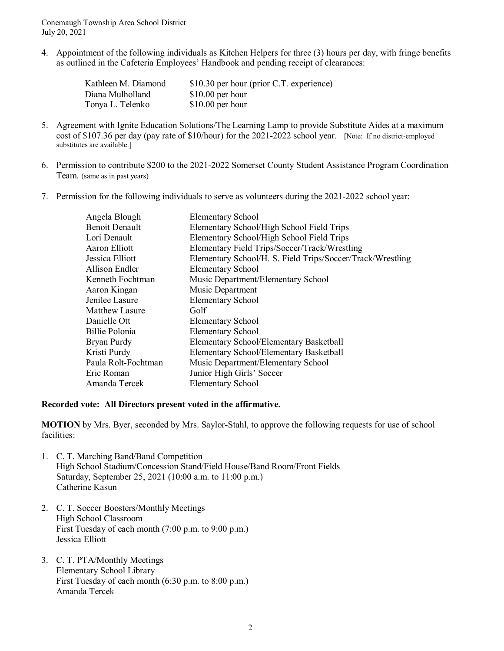Conemaugh Township Area School District July 20, 2021

4. Appointment of the following individuals as Kitchen Helpers for three (3) hours per day, with fringe benefits as outlined in the Cafeteria Employees' Handbook and pending receipt of clearances:

| Kathleen M. Diamond | \$10.30 per hour (prior C.T. experience) |
|---------------------|------------------------------------------|
| Diana Mulholland    | $$10.00$ per hour                        |
| Tonya L. Telenko    | $$10.00$ per hour                        |

- 5. Agreement with Ignite Education Solutions/The Learning Lamp to provide Substitute Aides at a maximum cost of \$107.36 per day (pay rate of \$10/hour) for the 2021-2022 school year. [Note: If no district-employed substitutes are available.]
- 6. Permission to contribute \$200 to the 2021-2022 Somerset County Student Assistance Program Coordination Team. (same as in past years)
- 7. Permission for the following individuals to serve as volunteers during the 2021-2022 school year:

| Angela Blough         | <b>Elementary School</b>                                   |
|-----------------------|------------------------------------------------------------|
| <b>Benoit Denault</b> | Elementary School/High School Field Trips                  |
| Lori Denault          | Elementary School/High School Field Trips                  |
| Aaron Elliott         | Elementary Field Trips/Soccer/Track/Wrestling              |
| Jessica Elliott       | Elementary School/H. S. Field Trips/Soccer/Track/Wrestling |
| Allison Endler        | <b>Elementary School</b>                                   |
| Kenneth Fochtman      | Music Department/Elementary School                         |
| Aaron Kingan          | Music Department                                           |
| Jenilee Lasure        | <b>Elementary School</b>                                   |
| Matthew Lasure        | Golf                                                       |
| Danielle Ott          | <b>Elementary School</b>                                   |
| Billie Polonia        | <b>Elementary School</b>                                   |
| Bryan Purdy           | Elementary School/Elementary Basketball                    |
| Kristi Purdy          | Elementary School/Elementary Basketball                    |
| Paula Rolt-Fochtman   | Music Department/Elementary School                         |
| Eric Roman            | Junior High Girls' Soccer                                  |
| Amanda Tercek         | <b>Elementary School</b>                                   |

## **Recorded vote: All Directors present voted in the affirmative.**

**MOTION** by Mrs. Byer, seconded by Mrs. Saylor-Stahl, to approve the following requests for use of school facilities:

- 1. C. T. Marching Band/Band Competition High School Stadium/Concession Stand/Field House/Band Room/Front Fields Saturday, September 25, 2021 (10:00 a.m. to 11:00 p.m.) Catherine Kasun
- 2. C. T. Soccer Boosters/Monthly Meetings High School Classroom First Tuesday of each month (7:00 p.m. to 9:00 p.m.) Jessica Elliott
- 3. C. T. PTA/Monthly Meetings Elementary School Library First Tuesday of each month (6:30 p.m. to 8:00 p.m.) Amanda Tercek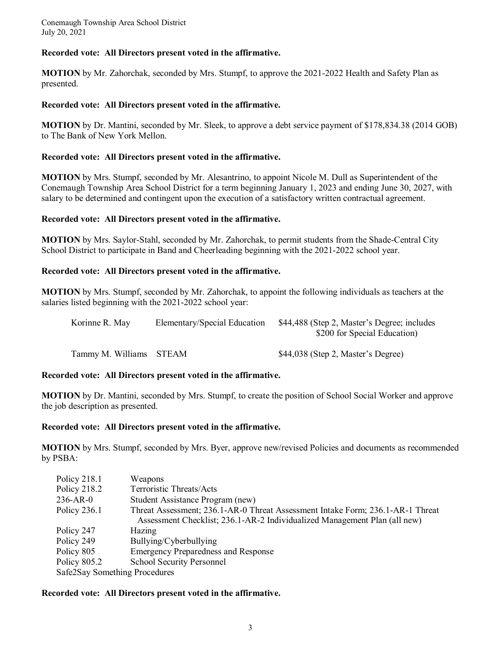Conemaugh Township Area School District July 20, 2021

#### **Recorded vote: All Directors present voted in the affirmative.**

**MOTION** by Mr. Zahorchak, seconded by Mrs. Stumpf, to approve the 2021-2022 Health and Safety Plan as presented.

#### **Recorded vote: All Directors present voted in the affirmative.**

**MOTION** by Dr. Mantini, seconded by Mr. Sleek, to approve a debt service payment of \$178,834.38 (2014 GOB) to The Bank of New York Mellon.

#### **Recorded vote: All Directors present voted in the affirmative.**

**MOTION** by Mrs. Stumpf, seconded by Mr. Alesantrino, to appoint Nicole M. Dull as Superintendent of the Conemaugh Township Area School District for a term beginning January 1, 2023 and ending June 30, 2027, with salary to be determined and contingent upon the execution of a satisfactory written contractual agreement.

#### **Recorded vote: All Directors present voted in the affirmative.**

**MOTION** by Mrs. Saylor-Stahl, seconded by Mr. Zahorchak, to permit students from the Shade-Central City School District to participate in Band and Cheerleading beginning with the 2021-2022 school year.

#### **Recorded vote: All Directors present voted in the affirmative.**

**MOTION** by Mrs. Stumpf, seconded by Mr. Zahorchak, to appoint the following individuals as teachers at the salaries listed beginning with the 2021-2022 school year:

| Korinne R. May          | Elementary/Special Education | \$44,488 (Step 2, Master's Degree; includes<br>\$200 for Special Education) |
|-------------------------|------------------------------|-----------------------------------------------------------------------------|
| Tammy M. Williams STEAM |                              | \$44,038 (Step 2, Master's Degree)                                          |

## **Recorded vote: All Directors present voted in the affirmative.**

**MOTION** by Dr. Mantini, seconded by Mrs. Stumpf, to create the position of School Social Worker and approve the job description as presented.

#### **Recorded vote: All Directors present voted in the affirmative.**

**MOTION** by Mrs. Stumpf, seconded by Mrs. Byer, approve new/revised Policies and documents as recommended by PSBA:

| Policy 218.1                  | <i>Weapons</i>                                                                 |  |
|-------------------------------|--------------------------------------------------------------------------------|--|
| Policy 218.2                  | Terroristic Threats/Acts                                                       |  |
| $236-AR-0$                    | Student Assistance Program (new)                                               |  |
| Policy $236.1$                | Threat Assessment; 236.1-AR-0 Threat Assessment Intake Form; 236.1-AR-1 Threat |  |
|                               | Assessment Checklist; 236.1-AR-2 Individualized Management Plan (all new)      |  |
| Policy 247                    | Hazing                                                                         |  |
| Policy 249                    | Bullying/Cyberbullying                                                         |  |
| Policy 805                    | <b>Emergency Preparedness and Response</b>                                     |  |
| Policy 805.2                  | <b>School Security Personnel</b>                                               |  |
| Safe2Say Something Procedures |                                                                                |  |

#### **Recorded vote: All Directors present voted in the affirmative.**